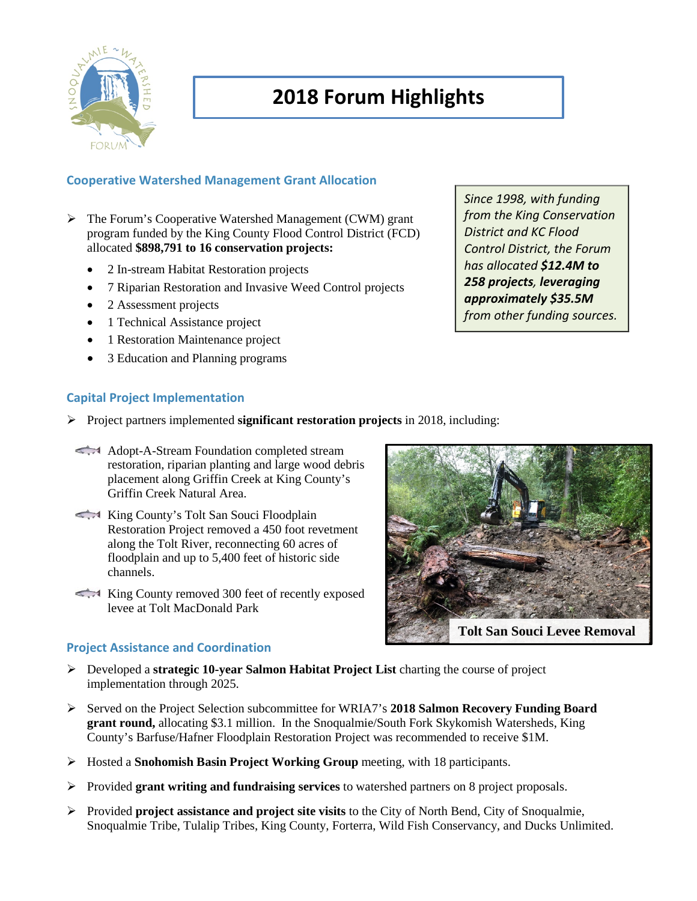

# **2018 Forum Highlights**

### **Cooperative Watershed Management Grant Allocation**

- The Forum's Cooperative Watershed Management (CWM) grant program funded by the King County Flood Control District (FCD) allocated **\$898,791 to 16 conservation projects:**
	- 2 In-stream Habitat Restoration projects
	- 7 Riparian Restoration and Invasive Weed Control projects
	- 2 Assessment projects
	- 1 Technical Assistance project
	- 1 Restoration Maintenance project
	- 3 Education and Planning programs

## **Capital Project Implementation**

- $\triangleright$  Project partners implemented **significant restoration projects** in 2018, including:
- Adopt-A-Stream Foundation completed stream restoration, riparian planting and large wood debris placement along Griffin Creek at King County's Griffin Creek Natural Area.
- King County's Tolt San Souci Floodplain Restoration Project removed a 450 foot revetment along the Tolt River, reconnecting 60 acres of floodplain and up to 5,400 feet of historic side channels.
- King County removed 300 feet of recently exposed levee at Tolt MacDonald Park

# *District and KC Flood Control District, the Forum has allocated \$12.4M to 258 projects, leveraging approximately \$35.5M from other funding sources.*

*Since 1998, with funding from the King Conservation* 



#### **Project Assistance and Coordination**

- Developed a **strategic 10-year Salmon Habitat Project List** charting the course of project implementation through 2025.
- Served on the Project Selection subcommittee for WRIA7's **2018 Salmon Recovery Funding Board grant round,** allocating \$3.1 million. In the Snoqualmie/South Fork Skykomish Watersheds, King County's Barfuse/Hafner Floodplain Restoration Project was recommended to receive \$1M.
- Hosted a **Snohomish Basin Project Working Group** meeting, with 18 participants.
- Provided **grant writing and fundraising services** to watershed partners on 8 project proposals.
- Provided **project assistance and project site visits** to the City of North Bend, City of Snoqualmie, Snoqualmie Tribe, Tulalip Tribes, King County, Forterra, Wild Fish Conservancy, and Ducks Unlimited.